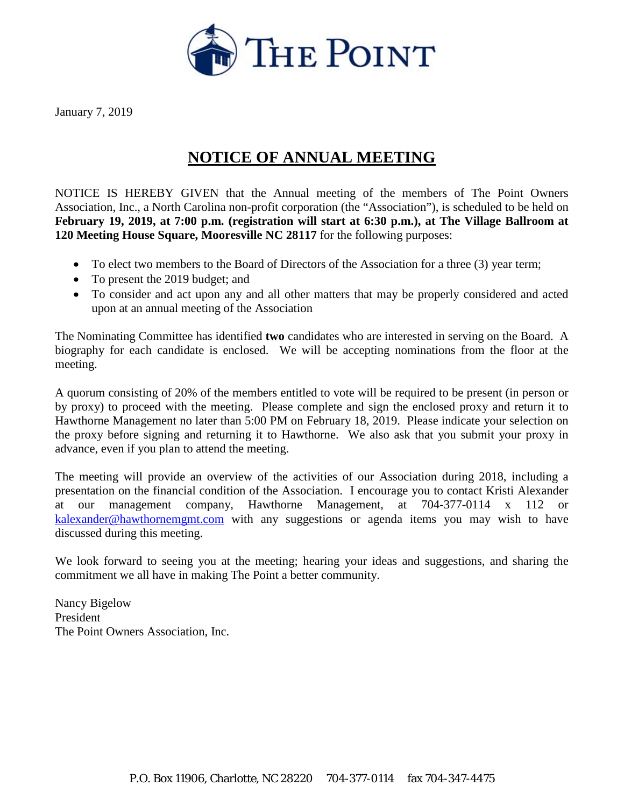

January 7, 2019

## **NOTICE OF ANNUAL MEETING**

NOTICE IS HEREBY GIVEN that the Annual meeting of the members of The Point Owners Association, Inc., a North Carolina non-profit corporation (the "Association"), is scheduled to be held on **February 19, 2019, at 7:00 p.m. (registration will start at 6:30 p.m.), at The Village Ballroom at 120 Meeting House Square, Mooresville NC 28117** for the following purposes:

- To elect two members to the Board of Directors of the Association for a three (3) year term;
- To present the 2019 budget; and
- To consider and act upon any and all other matters that may be properly considered and acted upon at an annual meeting of the Association

The Nominating Committee has identified **two** candidates who are interested in serving on the Board. A biography for each candidate is enclosed. We will be accepting nominations from the floor at the meeting.

A quorum consisting of 20% of the members entitled to vote will be required to be present (in person or by proxy) to proceed with the meeting. Please complete and sign the enclosed proxy and return it to Hawthorne Management no later than 5:00 PM on February 18, 2019. Please indicate your selection on the proxy before signing and returning it to Hawthorne. We also ask that you submit your proxy in advance, even if you plan to attend the meeting.

The meeting will provide an overview of the activities of our Association during 2018, including a presentation on the financial condition of the Association. I encourage you to contact Kristi Alexander at our management company, Hawthorne Management, at 704-377-0114 x 112 or [kalexander@hawthornemgmt.com](mailto:kalexander@hawthornemgmt.com) with any suggestions or agenda items you may wish to have discussed during this meeting.

We look forward to seeing you at the meeting; hearing your ideas and suggestions, and sharing the commitment we all have in making The Point a better community.

Nancy Bigelow President The Point Owners Association, Inc.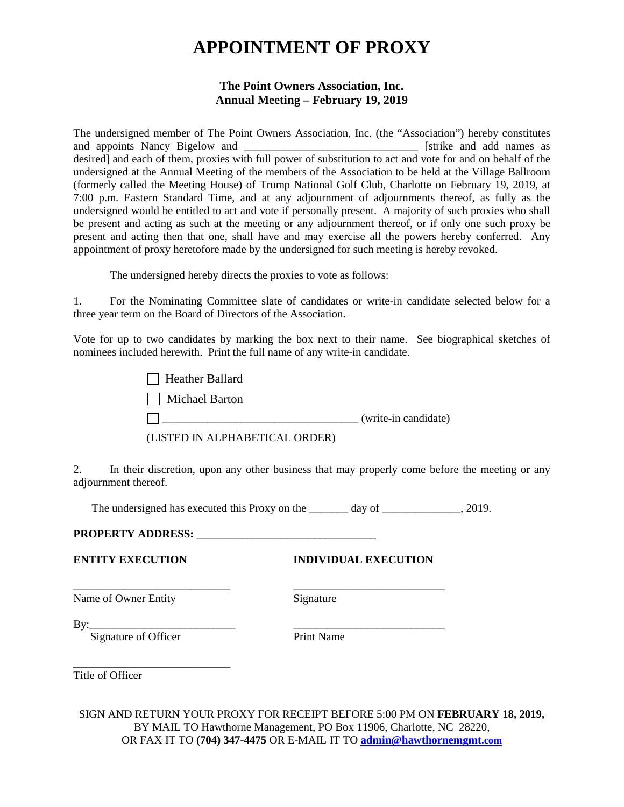# **APPOINTMENT OF PROXY**

### **The Point Owners Association, Inc. Annual Meeting – February 19, 2019**

The undersigned member of The Point Owners Association, Inc. (the "Association") hereby constitutes and appoints Nancy Bigelow and \_\_\_\_\_\_\_\_\_\_\_\_\_\_\_\_\_\_\_\_\_\_\_\_\_\_\_\_\_\_\_ [strike and add names as desired] and each of them, proxies with full power of substitution to act and vote for and on behalf of the undersigned at the Annual Meeting of the members of the Association to be held at the Village Ballroom (formerly called the Meeting House) of Trump National Golf Club, Charlotte on February 19, 2019, at 7:00 p.m. Eastern Standard Time, and at any adjournment of adjournments thereof, as fully as the undersigned would be entitled to act and vote if personally present. A majority of such proxies who shall be present and acting as such at the meeting or any adjournment thereof, or if only one such proxy be present and acting then that one, shall have and may exercise all the powers hereby conferred. Any appointment of proxy heretofore made by the undersigned for such meeting is hereby revoked.

The undersigned hereby directs the proxies to vote as follows:

1. For the Nominating Committee slate of candidates or write-in candidate selected below for a three year term on the Board of Directors of the Association.

Vote for up to two candidates by marking the box next to their name. See biographical sketches of nominees included herewith. Print the full name of any write-in candidate.

| <b>Heather Ballard</b>         |                      |
|--------------------------------|----------------------|
| Michael Barton                 |                      |
|                                | (write-in candidate) |
| (LISTED IN ALPHABETICAL ORDER) |                      |

2. In their discretion, upon any other business that may properly come before the meeting or any adjournment thereof.

The undersigned has executed this Proxy on the \_\_\_\_\_\_\_ day of \_\_\_\_\_\_\_\_\_\_\_, 2019.

\_\_\_\_\_\_\_\_\_\_\_\_\_\_\_\_\_\_\_\_\_\_\_\_\_\_\_\_ \_\_\_\_\_\_\_\_\_\_\_\_\_\_\_\_\_\_\_\_\_\_\_\_\_\_\_

### **PROPERTY ADDRESS:** \_\_\_\_\_\_\_\_\_\_\_\_\_\_\_\_\_\_\_\_\_\_\_\_\_\_\_\_\_\_\_\_

### **ENTITY EXECUTION INDIVIDUAL EXECUTION**

Name of Owner Entity Signature

By:\_\_\_\_\_\_\_\_\_\_\_\_\_\_\_\_\_\_\_\_\_\_\_\_\_\_ \_\_\_\_\_\_\_\_\_\_\_\_\_\_\_\_\_\_\_\_\_\_\_\_\_\_\_

Signature of Officer Print Name

\_\_\_\_\_\_\_\_\_\_\_\_\_\_\_\_\_\_\_\_\_\_\_\_\_\_\_\_ Title of Officer

SIGN AND RETURN YOUR PROXY FOR RECEIPT BEFORE 5:00 PM ON **FEBRUARY 18, 2019,** BY MAIL TO Hawthorne Management, PO Box 11906, Charlotte, NC 28220, OR FAX IT TO **(704) 347-4475** OR E-MAIL IT TO **[admin@hawthornemgmt.com](mailto:admin@hawthornemgmt.com)**